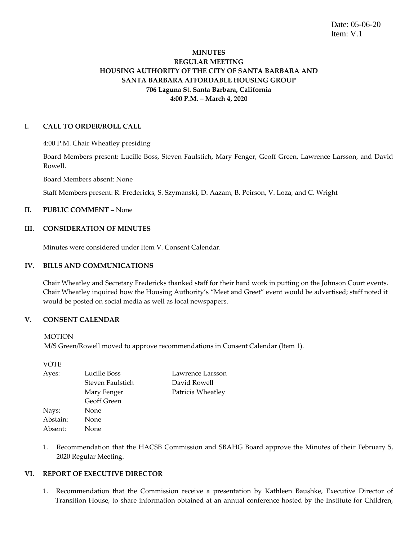Date: 05-06-20 Item: V.1

## **MINUTES REGULAR MEETING HOUSING AUTHORITY OF THE CITY OF SANTA BARBARA AND SANTA BARBARA AFFORDABLE HOUSING GROUP 706 Laguna St. Santa Barbara, California 4:00 P.M. – March 4, 2020**

#### **I. CALL TO ORDER/ROLL CALL**

4:00 P.M. Chair Wheatley presiding

Board Members present: Lucille Boss, Steven Faulstich, Mary Fenger, Geoff Green, Lawrence Larsson, and David Rowell.

Board Members absent: None

Staff Members present: R. Fredericks, S. Szymanski, D. Aazam, B. Peirson, V. Loza, and C. Wright

## **II. PUBLIC COMMENT** – None

#### **III. CONSIDERATION OF MINUTES**

Minutes were considered under Item V. Consent Calendar.

#### **IV. BILLS AND COMMUNICATIONS**

Chair Wheatley and Secretary Fredericks thanked staff for their hard work in putting on the Johnson Court events. Chair Wheatley inquired how the Housing Authority's "Meet and Greet" event would be advertised; staff noted it would be posted on social media as well as local newspapers.

### **V. CONSENT CALENDAR**

M/S Green/Rowell moved to approve recommendations in Consent Calendar (Item 1).

VOTE

| Ayes:    | Lucille Boss     | Lawrence Larsson  |
|----------|------------------|-------------------|
|          | Steven Faulstich | David Rowell      |
|          | Mary Fenger      | Patricia Wheatley |
|          | Geoff Green      |                   |
| Nays:    | None             |                   |
| Abstain: | None             |                   |
| Absent:  | None             |                   |

1. Recommendation that the HACSB Commission and SBAHG Board approve the Minutes of their February 5, 2020 Regular Meeting.

#### **VI. REPORT OF EXECUTIVE DIRECTOR**

1. Recommendation that the Commission receive a presentation by Kathleen Baushke, Executive Director of Transition House, to share information obtained at an annual conference hosted by the Institute for Children,

**MOTION**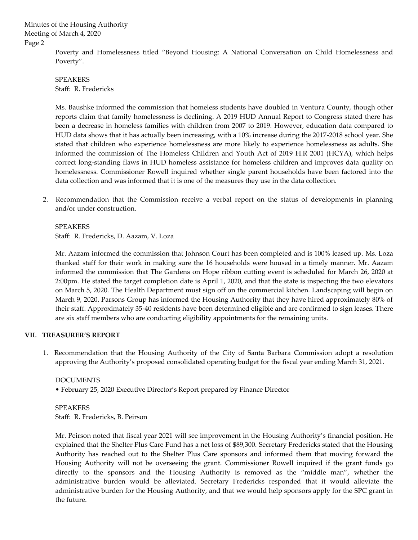> Poverty and Homelessness titled "Beyond Housing: A National Conversation on Child Homelessness and Poverty".

SPEAKERS Staff: R. Fredericks

Ms. Baushke informed the commission that homeless students have doubled in Ventura County, though other reports claim that family homelessness is declining. A 2019 HUD Annual Report to Congress stated there has been a decrease in homeless families with children from 2007 to 2019. However, education data compared to HUD data shows that it has actually been increasing, with a 10% increase during the 2017-2018 school year. She stated that children who experience homelessness are more likely to experience homelessness as adults. She informed the commission of The Homeless Children and Youth Act of 2019 H.R 2001 (HCYA), which helps correct long-standing flaws in HUD homeless assistance for homeless children and improves data quality on homelessness. Commissioner Rowell inquired whether single parent households have been factored into the data collection and was informed that it is one of the measures they use in the data collection.

2. Recommendation that the Commission receive a verbal report on the status of developments in planning and/or under construction.

SPEAKERS Staff: R. Fredericks, D. Aazam, V. Loza

Mr. Aazam informed the commission that Johnson Court has been completed and is 100% leased up. Ms. Loza thanked staff for their work in making sure the 16 households were housed in a timely manner. Mr. Aazam informed the commission that The Gardens on Hope ribbon cutting event is scheduled for March 26, 2020 at 2:00pm. He stated the target completion date is April 1, 2020, and that the state is inspecting the two elevators on March 5, 2020. The Health Department must sign off on the commercial kitchen. Landscaping will begin on March 9, 2020. Parsons Group has informed the Housing Authority that they have hired approximately 80% of their staff. Approximately 35-40 residents have been determined eligible and are confirmed to sign leases. There are six staff members who are conducting eligibility appointments for the remaining units.

## **VII. TREASURER'S REPORT**

1. Recommendation that the Housing Authority of the City of Santa Barbara Commission adopt a resolution approving the Authority's proposed consolidated operating budget for the fiscal year ending March 31, 2021.

## DOCUMENTS

• February 25, 2020 Executive Director's Report prepared by Finance Director

## SPEAKERS Staff: R. Fredericks, B. Peirson

Mr. Peirson noted that fiscal year 2021 will see improvement in the Housing Authority's financial position. He explained that the Shelter Plus Care Fund has a net loss of \$89,300. Secretary Fredericks stated that the Housing Authority has reached out to the Shelter Plus Care sponsors and informed them that moving forward the Housing Authority will not be overseeing the grant. Commissioner Rowell inquired if the grant funds go directly to the sponsors and the Housing Authority is removed as the "middle man", whether the administrative burden would be alleviated. Secretary Fredericks responded that it would alleviate the administrative burden for the Housing Authority, and that we would help sponsors apply for the SPC grant in the future.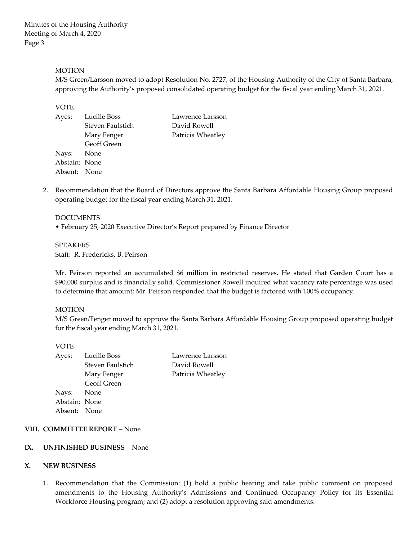#### **MOTION**

M/S Green/Larsson moved to adopt Resolution No. 2727, of the Housing Authority of the City of Santa Barbara, approving the Authority's proposed consolidated operating budget for the fiscal year ending March 31, 2021.

#### VOTE

| Ayes:         | Lucille Boss       | Lawrence Larsson  |
|---------------|--------------------|-------------------|
|               | Steven Faulstich   | David Rowell      |
|               | Mary Fenger        | Patricia Wheatley |
|               | <b>Geoff Green</b> |                   |
| Nays: None    |                    |                   |
| Abstain: None |                    |                   |
| Absent: None  |                    |                   |
|               |                    |                   |

2. Recommendation that the Board of Directors approve the Santa Barbara Affordable Housing Group proposed operating budget for the fiscal year ending March 31, 2021.

#### DOCUMENTS

• February 25, 2020 Executive Director's Report prepared by Finance Director

SPEAKERS Staff: R. Fredericks, B. Peirson

Mr. Peirson reported an accumulated \$6 million in restricted reserves. He stated that Garden Court has a \$90,000 surplus and is financially solid. Commissioner Rowell inquired what vacancy rate percentage was used to determine that amount; Mr. Peirson responded that the budget is factored with 100% occupancy.

#### MOTION

M/S Green/Fenger moved to approve the Santa Barbara Affordable Housing Group proposed operating budget for the fiscal year ending March 31, 2021.

> Lawrence Larsson David Rowell Patricia Wheatley

#### VOTE

| Ayes:         | Lucille Boss     |
|---------------|------------------|
|               | Steven Faulstich |
|               | Mary Fenger      |
|               | Geoff Green      |
| Nays:         | None             |
| Abstain: None |                  |
| Absent: None  |                  |
|               |                  |

**VIII. COMMITTEE REPORT** – None

#### **IX. UNFINISHED BUSINESS** – None

#### **X. NEW BUSINESS**

1. Recommendation that the Commission: (1) hold a public hearing and take public comment on proposed amendments to the Housing Authority's Admissions and Continued Occupancy Policy for its Essential Workforce Housing program; and (2) adopt a resolution approving said amendments.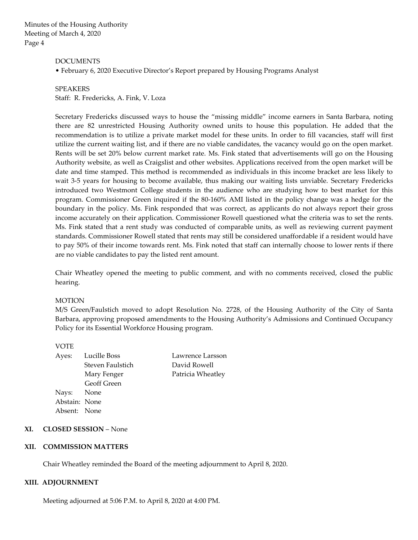#### DOCUMENTS

• February 6, 2020 Executive Director's Report prepared by Housing Programs Analyst

#### SPEAKERS

Staff: R. Fredericks, A. Fink, V. Loza

Secretary Fredericks discussed ways to house the "missing middle" income earners in Santa Barbara, noting there are 82 unrestricted Housing Authority owned units to house this population. He added that the recommendation is to utilize a private market model for these units. In order to fill vacancies, staff will first utilize the current waiting list, and if there are no viable candidates, the vacancy would go on the open market. Rents will be set 20% below current market rate. Ms. Fink stated that advertisements will go on the Housing Authority website, as well as Craigslist and other websites. Applications received from the open market will be date and time stamped. This method is recommended as individuals in this income bracket are less likely to wait 3-5 years for housing to become available, thus making our waiting lists unviable. Secretary Fredericks introduced two Westmont College students in the audience who are studying how to best market for this program. Commissioner Green inquired if the 80-160% AMI listed in the policy change was a hedge for the boundary in the policy. Ms. Fink responded that was correct, as applicants do not always report their gross income accurately on their application. Commissioner Rowell questioned what the criteria was to set the rents. Ms. Fink stated that a rent study was conducted of comparable units, as well as reviewing current payment standards. Commissioner Rowell stated that rents may still be considered unaffordable if a resident would have to pay 50% of their income towards rent. Ms. Fink noted that staff can internally choose to lower rents if there are no viable candidates to pay the listed rent amount.

Chair Wheatley opened the meeting to public comment, and with no comments received, closed the public hearing.

#### **MOTION**

M/S Green/Faulstich moved to adopt Resolution No. 2728, of the Housing Authority of the City of Santa Barbara, approving proposed amendments to the Housing Authority's Admissions and Continued Occupancy Policy for its Essential Workforce Housing program.

#### VOTE

 Steven Faulstich David Rowell Geoff Green Nays: None Abstain: None Absent: None

Ayes: Lucille Boss Lawrence Larsson Mary Fenger Patricia Wheatley

#### **XI. CLOSED SESSION** – None

#### **XII. COMMISSION MATTERS**

Chair Wheatley reminded the Board of the meeting adjournment to April 8, 2020.

#### **XIII. ADJOURNMENT**

Meeting adjourned at 5:06 P.M. to April 8, 2020 at 4:00 PM.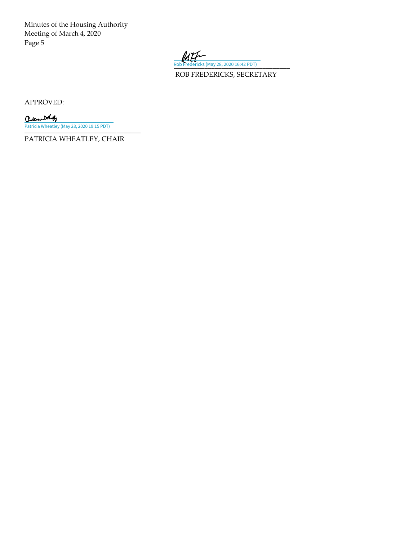

ROB FREDERICKS, SECRETARY

APPROVED:

Caternal that \_\_\_\_\_\_\_\_\_\_\_\_\_\_\_\_\_\_\_\_\_\_\_\_\_\_\_\_\_\_\_\_\_\_ [Patricia Wheatley \(May 28, 2020 19:15 PDT\)](https://adobefreeuserschannel.na2.documents.adobe.com/verifier?tx=CBJCHBCAABAAekYkpg9xaPkHuyuy8Ddz6Ri_Cn0rM27O)

PATRICIA WHEATLEY, CHAIR